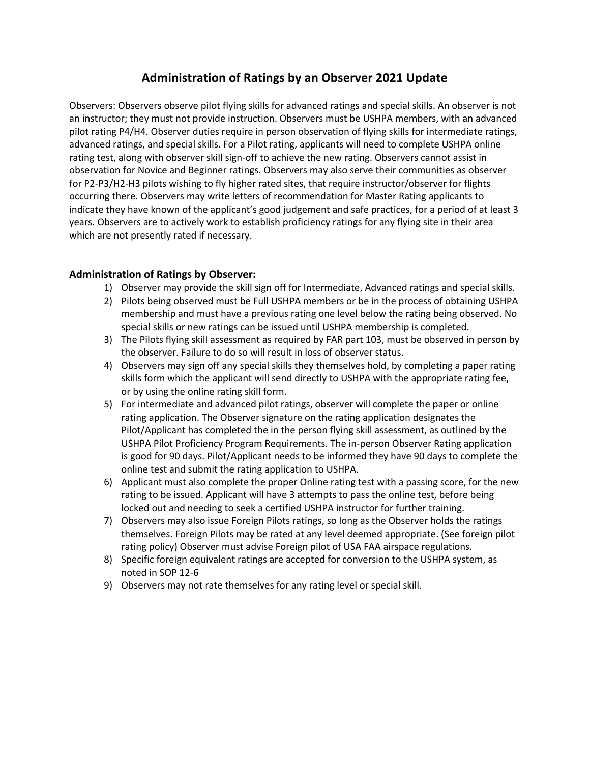## **Administration of Ratings by an Observer 2021 Update**

Observers: Observers observe pilot flying skills for advanced ratings and special skills. An observer is not an instructor; they must not provide instruction. Observers must be USHPA members, with an advanced pilot rating P4/H4. Observer duties require in person observation of flying skills for intermediate ratings, advanced ratings, and special skills. For a Pilot rating, applicants will need to complete USHPA online rating test, along with observer skill sign-off to achieve the new rating. Observers cannot assist in observation for Novice and Beginner ratings. Observers may also serve their communities as observer for P2-P3/H2-H3 pilots wishing to fly higher rated sites, that require instructor/observer for flights occurring there. Observers may write letters of recommendation for Master Rating applicants to indicate they have known of the applicant's good judgement and safe practices, for a period of at least 3 years. Observers are to actively work to establish proficiency ratings for any flying site in their area which are not presently rated if necessary.

## **Administration of Ratings by Observer:**

- 1) Observer may provide the skill sign off for Intermediate, Advanced ratings and special skills.
- 2) Pilots being observed must be Full USHPA members or be in the process of obtaining USHPA membership and must have a previous rating one level below the rating being observed. No special skills or new ratings can be issued until USHPA membership is completed.
- 3) The Pilots flying skill assessment as required by FAR part 103, must be observed in person by the observer. Failure to do so will result in loss of observer status.
- 4) Observers may sign off any special skills they themselves hold, by completing a paper rating skills form which the applicant will send directly to USHPA with the appropriate rating fee, or by using the online rating skill form.
- 5) For intermediate and advanced pilot ratings, observer will complete the paper or online rating application. The Observer signature on the rating application designates the Pilot/Applicant has completed the in the person flying skill assessment, as outlined by the USHPA Pilot Proficiency Program Requirements. The in-person Observer Rating application is good for 90 days. Pilot/Applicant needs to be informed they have 90 days to complete the online test and submit the rating application to USHPA.
- 6) Applicant must also complete the proper Online rating test with a passing score, for the new rating to be issued. Applicant will have 3 attempts to pass the online test, before being locked out and needing to seek a certified USHPA instructor for further training.
- 7) Observers may also issue Foreign Pilots ratings, so long as the Observer holds the ratings themselves. Foreign Pilots may be rated at any level deemed appropriate. (See foreign pilot rating policy) Observer must advise Foreign pilot of USA FAA airspace regulations.
- 8) Specific foreign equivalent ratings are accepted for conversion to the USHPA system, as noted in SOP 12-6
- 9) Observers may not rate themselves for any rating level or special skill.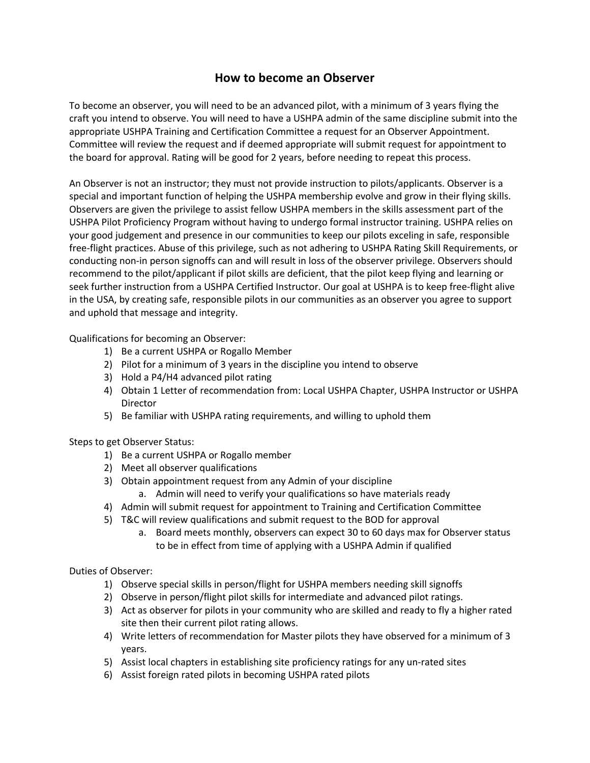## **How to become an Observer**

To become an observer, you will need to be an advanced pilot, with a minimum of 3 years flying the craft you intend to observe. You will need to have a USHPA admin of the same discipline submit into the appropriate USHPA Training and Certification Committee a request for an Observer Appointment. Committee will review the request and if deemed appropriate will submit request for appointment to the board for approval. Rating will be good for 2 years, before needing to repeat this process.

An Observer is not an instructor; they must not provide instruction to pilots/applicants. Observer is a special and important function of helping the USHPA membership evolve and grow in their flying skills. Observers are given the privilege to assist fellow USHPA members in the skills assessment part of the USHPA Pilot Proficiency Program without having to undergo formal instructor training. USHPA relies on your good judgement and presence in our communities to keep our pilots exceling in safe, responsible free-flight practices. Abuse of this privilege, such as not adhering to USHPA Rating Skill Requirements, or conducting non-in person signoffs can and will result in loss of the observer privilege. Observers should recommend to the pilot/applicant if pilot skills are deficient, that the pilot keep flying and learning or seek further instruction from a USHPA Certified Instructor. Our goal at USHPA is to keep free-flight alive in the USA, by creating safe, responsible pilots in our communities as an observer you agree to support and uphold that message and integrity.

Qualifications for becoming an Observer:

- 1) Be a current USHPA or Rogallo Member
- 2) Pilot for a minimum of 3 years in the discipline you intend to observe
- 3) Hold a P4/H4 advanced pilot rating
- 4) Obtain 1 Letter of recommendation from: Local USHPA Chapter, USHPA Instructor or USHPA Director
- 5) Be familiar with USHPA rating requirements, and willing to uphold them

Steps to get Observer Status:

- 1) Be a current USHPA or Rogallo member
- 2) Meet all observer qualifications
- 3) Obtain appointment request from any Admin of your discipline
	- a. Admin will need to verify your qualifications so have materials ready
- 4) Admin will submit request for appointment to Training and Certification Committee
- 5) T&C will review qualifications and submit request to the BOD for approval
	- a. Board meets monthly, observers can expect 30 to 60 days max for Observer status to be in effect from time of applying with a USHPA Admin if qualified

Duties of Observer:

- 1) Observe special skills in person/flight for USHPA members needing skill signoffs
- 2) Observe in person/flight pilot skills for intermediate and advanced pilot ratings.
- 3) Act as observer for pilots in your community who are skilled and ready to fly a higher rated site then their current pilot rating allows.
- 4) Write letters of recommendation for Master pilots they have observed for a minimum of 3 years.
- 5) Assist local chapters in establishing site proficiency ratings for any un-rated sites
- 6) Assist foreign rated pilots in becoming USHPA rated pilots